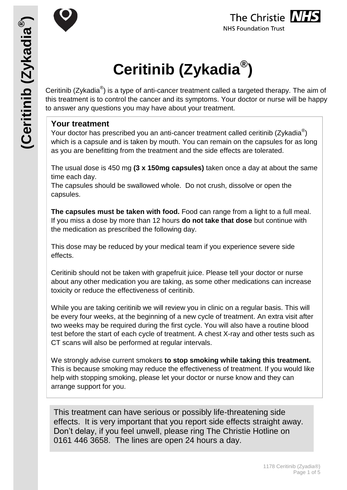



# **Ceritinib (Zykadia® )**

Ceritinib (Zykadia®) is a type of anti-cancer treatment called a targeted therapy. The aim of this treatment is to control the cancer and its symptoms. Your doctor or nurse will be happy to answer any questions you may have about your treatment.

# **Your treatment**

Your doctor has prescribed you an anti-cancer treatment called ceritinib (Zykadia $^{\circledR}$ ) which is a capsule and is taken by mouth. You can remain on the capsules for as long as you are benefitting from the treatment and the side effects are tolerated.

The usual dose is 450 mg **(3 x 150mg capsules)** taken once a day at about the same time each day.

The capsules should be swallowed whole. Do not crush, dissolve or open the capsules.

**The capsules must be taken with food.** Food can range from a light to a full meal. If you miss a dose by more than 12 hours **do not take that dose** but continue with the medication as prescribed the following day.

This dose may be reduced by your medical team if you experience severe side effects.

Ceritinib should not be taken with grapefruit juice. Please tell your doctor or nurse about any other medication you are taking, as some other medications can increase toxicity or reduce the effectiveness of ceritinib.

While you are taking ceritinib we will review you in clinic on a regular basis. This will be every four weeks, at the beginning of a new cycle of treatment. An extra visit after two weeks may be required during the first cycle. You will also have a routine blood test before the start of each cycle of treatment. A chest X-ray and other tests such as CT scans will also be performed at regular intervals.

We strongly advise current smokers **to stop smoking while taking this treatment.**  This is because smoking may reduce the effectiveness of treatment. If you would like help with stopping smoking, please let your doctor or nurse know and they can arrange support for you.

This treatment can have serious or possibly life-threatening side effects. It is very important that you report side effects straight away. Don't delay, if you feel unwell, please ring The Christie Hotline on 0161 446 3658. The lines are open 24 hours a day.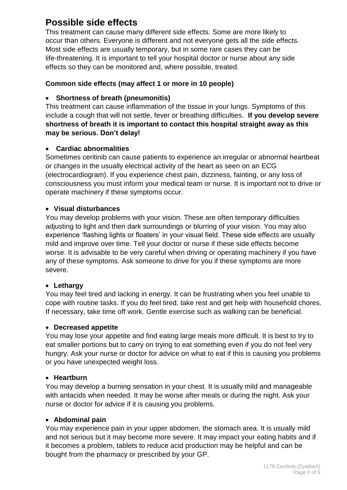# **Possible side effects**

This treatment can cause many different side effects. Some are more likely to occur than others. Everyone is different and not everyone gets all the side effects. Most side effects are usually temporary, but in some rare cases they can be life-threatening. It is important to tell your hospital doctor or nurse about any side effects so they can be monitored and, where possible, treated.

# **Common side effects (may affect 1 or more in 10 people)**

# **Shortness of breath (pneumonitis)**

This treatment can cause inflammation of the tissue in your lungs. Symptoms of this include a cough that will not settle, fever or breathing difficulties. **If you develop severe shortness of breath it is important to contact this hospital straight away as this may be serious. Don't delay!**

# **Cardiac abnormalities**

Sometimes ceritinib can cause patients to experience an irregular or abnormal heartbeat or changes in the usually electrical activity of the heart as seen on an ECG (electrocardiogram). If you experience chest pain, dizziness, fainting, or any loss of consciousness you must inform your medical team or nurse. It is important not to drive or operate machinery if these symptoms occur.

# **Visual disturbances**

You may develop problems with your vision. These are often temporary difficulties adjusting to light and then dark surroundings or blurring of your vision. You may also experience 'flashing lights or floaters' in your visual field. These side effects are usually mild and improve over time. Tell your doctor or nurse if these side effects become worse. It is advisable to be very careful when driving or operating machinery if you have any of these symptoms. Ask someone to drive for you if these symptoms are more severe.

# **Lethargy**

You may feel tired and lacking in energy. It can be frustrating when you feel unable to cope with routine tasks. If you do feel tired, take rest and get help with household chores. If necessary, take time off work. Gentle exercise such as walking can be beneficial.

# **Decreased appetite**

You may lose your appetite and find eating large meals more difficult. It is best to try to eat smaller portions but to carry on trying to eat something even if you do not feel very hungry. Ask your nurse or doctor for advice on what to eat if this is causing you problems or you have unexpected weight loss.

# **Heartburn**

You may develop a burning sensation in your chest. It is usually mild and manageable with antacids when needed. It may be worse after meals or during the night. Ask your nurse or doctor for advice if it is causing you problems.

# **Abdominal pain**

You may experience pain in your upper abdomen, the stomach area. It is usually mild and not serious but it may become more severe. It may impact your eating habits and if it becomes a problem, tablets to reduce acid production may be helpful and can be bought from the pharmacy or prescribed by your GP.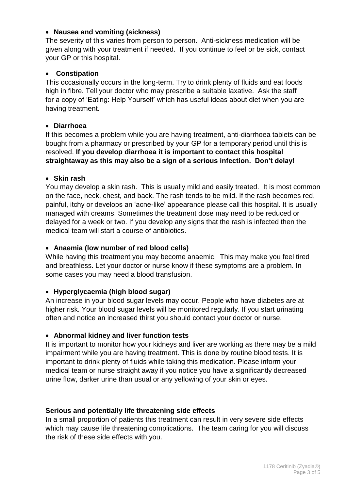# **Nausea and vomiting (sickness)**

The severity of this varies from person to person. Anti-sickness medication will be given along with your treatment if needed. If you continue to feel or be sick, contact your GP or this hospital.

#### **Constipation**

This occasionally occurs in the long-term. Try to drink plenty of fluids and eat foods high in fibre. Tell your doctor who may prescribe a suitable laxative. Ask the staff for a copy of 'Eating: Help Yourself' which has useful ideas about diet when you are having treatment.

#### **Diarrhoea**

If this becomes a problem while you are having treatment, anti-diarrhoea tablets can be bought from a pharmacy or prescribed by your GP for a temporary period until this is resolved. **If you develop diarrhoea it is important to contact this hospital straightaway as this may also be a sign of a serious infection. Don't delay!**

#### **Skin rash**

You may develop a skin rash. This is usually mild and easily treated. It is most common on the face, neck, chest, and back. The rash tends to be mild. If the rash becomes red, painful, itchy or develops an 'acne-like' appearance please call this hospital. It is usually managed with creams. Sometimes the treatment dose may need to be reduced or delayed for a week or two. If you develop any signs that the rash is infected then the medical team will start a course of antibiotics.

#### **Anaemia (low number of red blood cells)**

While having this treatment you may become anaemic. This may make you feel tired and breathless. Let your doctor or nurse know if these symptoms are a problem. In some cases you may need a blood transfusion.

#### **Hyperglycaemia (high blood sugar)**

An increase in your blood sugar levels may occur. People who have diabetes are at higher risk. Your blood sugar levels will be monitored regularly. If you start urinating often and notice an increased thirst you should contact your doctor or nurse.

#### **Abnormal kidney and liver function tests**

It is important to monitor how your kidneys and liver are working as there may be a mild impairment while you are having treatment. This is done by routine blood tests. It is important to drink plenty of fluids while taking this medication. Please inform your medical team or nurse straight away if you notice you have a significantly decreased urine flow, darker urine than usual or any yellowing of your skin or eyes.

#### **Serious and potentially life threatening side effects**

In a small proportion of patients this treatment can result in very severe side effects which may cause life threatening complications. The team caring for you will discuss the risk of these side effects with you.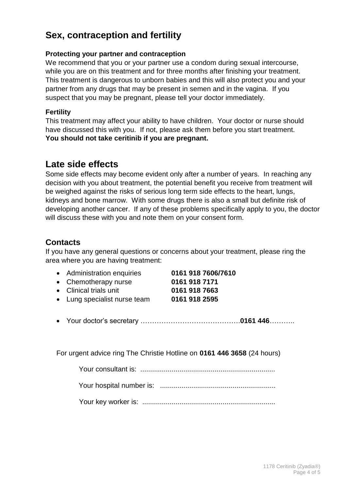# **Sex, contraception and fertility**

#### **Protecting your partner and contraception**

We recommend that you or your partner use a condom during sexual intercourse, while you are on this treatment and for three months after finishing your treatment. This treatment is dangerous to unborn babies and this will also protect you and your partner from any drugs that may be present in semen and in the vagina. If you suspect that you may be pregnant, please tell your doctor immediately.

### **Fertility**

This treatment may affect your ability to have children. Your doctor or nurse should have discussed this with you. If not, please ask them before you start treatment. **You should not take ceritinib if you are pregnant.**

# **Late side effects**

Some side effects may become evident only after a number of years. In reaching any decision with you about treatment, the potential benefit you receive from treatment will be weighed against the risks of serious long term side effects to the heart, lungs, kidneys and bone marrow. With some drugs there is also a small but definite risk of developing another cancer. If any of these problems specifically apply to you, the doctor will discuss these with you and note them on your consent form.

# **Contacts**

If you have any general questions or concerns about your treatment, please ring the area where you are having treatment:

| 0161 918 7606/7610 |
|--------------------|
| 0161 918 7171      |
| 0161 918 7663      |
| 0161 918 2595      |
|                    |

Your doctor's secretary …………………………………….**0161 446**………..

For urgent advice ring The Christie Hotline on **0161 446 3658** (24 hours)

Your consultant is: .....................................................................

Your hospital number is: ...........................................................

Your key worker is: ....................................................................